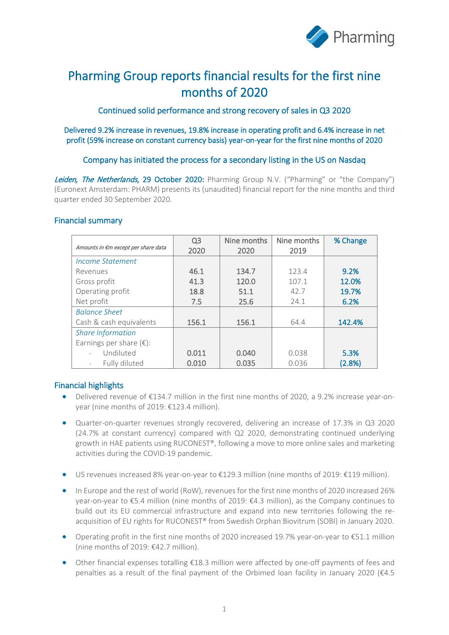

# Pharming Group reports financial results for the first nine months of 2020

Continued solid performance and strong recovery of sales in Q3 2020

Delivered 9.2% increase in revenues, 19.8% increase in operating profit and 6.4% increase in net profit (59% increase on constant currency basis) year-on-year for the first nine months of 2020

### Company has initiated the process for a secondary listing in the US on Nasdaq

Leiden, The Netherlands, 29 October 2020: Pharming Group N.V. ("Pharming" or "the Company") (Euronext Amsterdam: PHARM) presents its (unaudited) financial report for the nine months and third quarter ended 30 September 2020.

#### Financial summary

|                                     | Q <sub>3</sub> | Nine months | Nine months | % Change |
|-------------------------------------|----------------|-------------|-------------|----------|
| Amounts in €m except per share data | 2020           | 2020        | 2019        |          |
| Income Statement                    |                |             |             |          |
| Revenues                            | 46.1           | 134.7       | 123.4       | 9.2%     |
| Gross profit                        | 41.3           | 120.0       | 107.1       | 12.0%    |
| Operating profit                    | 18.8           | 51.1        | 42.7        | 19.7%    |
| Net profit                          | 7.5            | 25.6        | 24.1        | 6.2%     |
| <b>Balance Sheet</b>                |                |             |             |          |
| Cash & cash equivalents             | 156.1          | 156.1       | 64.4        | 142.4%   |
| <b>Share Information</b>            |                |             |             |          |
| Earnings per share $(\epsilon)$ :   |                |             |             |          |
| Undiluted                           | 0.011          | 0.040       | 0.038       | 5.3%     |
| Fully diluted                       | 0.010          | 0.035       | 0.036       | (2.8%)   |

### Financial highlights

- Delivered revenue of €134.7 million in the first nine months of 2020, a 9.2% increase year-onyear (nine months of 2019: €123.4 million).
- Quarter-on-quarter revenues strongly recovered, delivering an increase of 17.3% in Q3 2020 (24.7% at constant currency) compared with Q2 2020, demonstrating continued underlying growth in HAE patients using RUCONEST®, following a move to more online sales and marketing activities during the COVID-19 pandemic.
- US revenues increased 8% year-on-year to €129.3 million (nine months of 2019: €119 million).
- In Europe and the rest of world (RoW), revenues for the first nine months of 2020 increased 26% year-on-year to €5.4 million (nine months of 2019: €4.3 million), as the Company continues to build out its EU commercial infrastructure and expand into new territories following the reacquisition of EU rights for RUCONEST® from Swedish Orphan Biovitrum (SOBI) in January 2020.
- Operating profit in the first nine months of 2020 increased 19.7% year-on-year to €51.1 million (nine months of 2019: €42.7 million).
- Other financial expenses totalling €18.3 million were affected by one-off payments of fees and penalties as a result of the final payment of the Orbimed loan facility in January 2020 (€4.5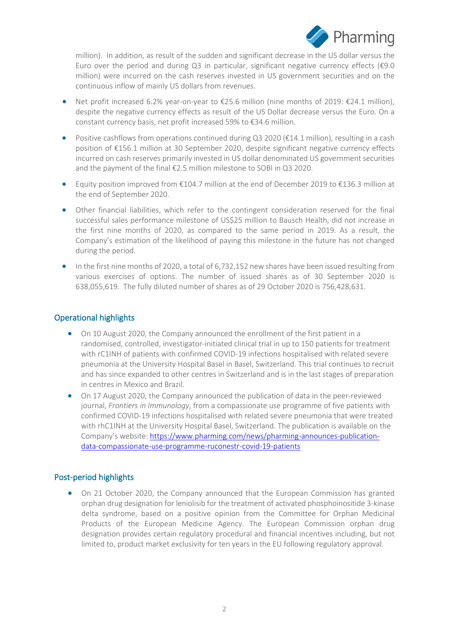

million). In addition, as result of the sudden and significant decrease in the US dollar versus the Euro over the period and during Q3 in particular, significant negative currency effects (€9.0 million) were incurred on the cash reserves invested in US government securities and on the continuous inflow of mainly US dollars from revenues.

- Net profit increased 6.2% year-on-year to €25.6 million (nine months of 2019: €24.1 million), despite the negative currency effects as result of the US Dollar decrease versus the Euro. On a constant currency basis, net profit increased 59% to €34.6 million.
- Positive cashflows from operations continued during Q3 2020 ( $\epsilon$ 14.1 million), resulting in a cash position of €156.1 million at 30 September 2020, despite significant negative currency effects incurred on cash reserves primarily invested in US dollar denominated US government securities and the payment of the final €2.5 million milestone to SOBI in Q3 2020.
- Equity position improved from €104.7 million at the end of December 2019 to €136.3 million at the end of September 2020.
- Other financial liabilities, which refer to the contingent consideration reserved for the final successful sales performance milestone of US\$25 million to Bausch Health, did not increase in the first nine months of 2020, as compared to the same period in 2019. As a result, the Company's estimation of the likelihood of paying this milestone in the future has not changed during the period.
- In the first nine months of 2020, a total of 6,732,152 new shares have been issued resulting from various exercises of options. The number of issued shares as of 30 September 2020 is 638,055,619. The fully diluted number of shares as of 29 October 2020 is 756,428,631.

### Operational highlights

- On 10 August 2020, the Company announced the enrollment of the first patient in a randomised, controlled, investigator-initiated clinical trial in up to 150 patients for treatment with rC1INH of patients with confirmed COVID-19 infections hospitalised with related severe pneumonia at the University Hospital Basel in Basel, Switzerland. This trial continues to recruit and has since expanded to other centres in Switzerland and is in the last stages of preparation in centres in Mexico and Brazil.
- On 17 August 2020, the Company announced the publication of data in the peer-reviewed journal, *Frontiers in Immunology*, from a compassionate use programme of five patients with confirmed COVID-19 infections hospitalised with related severe pneumonia that were treated with rhC1INH at the University Hospital Basel, Switzerland. The publication is available on the Company's website: [https://www.pharming.com/news/pharming-announces-publication](https://www.pharming.com/news/pharming-announces-publication-data-compassionate-use-programme-ruconestr-covid-19-patients)[data-compassionate-use-programme-ruconestr-covid-19-patients](https://www.pharming.com/news/pharming-announces-publication-data-compassionate-use-programme-ruconestr-covid-19-patients)

### Post-period highlights

• On 21 October 2020, the Company announced that the European Commission has granted orphan drug designation for leniolisib for the treatment of activated phosphoinositide 3-kinase delta syndrome, based on a positive opinion from the Committee for Orphan Medicinal Products of the European Medicine Agency. The European Commission orphan drug designation provides certain regulatory procedural and financial incentives including, but not limited to, product market exclusivity for ten years in the EU following regulatory approval.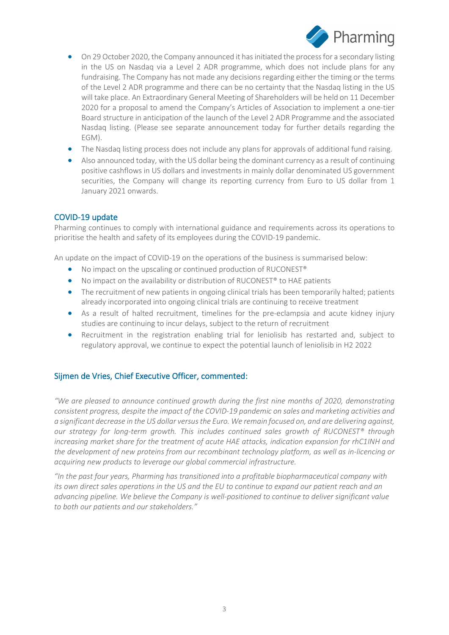

- On 29 October 2020, the Company announced it has initiated the process for a secondary listing in the US on Nasdaq via a Level 2 ADR programme, which does not include plans for any fundraising. The Company has not made any decisions regarding either the timing or the terms of the Level 2 ADR programme and there can be no certainty that the Nasdaq listing in the US will take place. An Extraordinary General Meeting of Shareholders will be held on 11 December 2020 for a proposal to amend the Company's Articles of Association to implement a one-tier Board structure in anticipation of the launch of the Level 2 ADR Programme and the associated Nasdaq listing. (Please see separate announcement today for further details regarding the EGM).
- The Nasdaq listing process does not include any plans for approvals of additional fund raising.
- Also announced today, with the US dollar being the dominant currency as a result of continuing positive cashflows in US dollars and investments in mainly dollar denominated US government securities, the Company will change its reporting currency from Euro to US dollar from 1 January 2021 onwards.

### COVID-19 update

Pharming continues to comply with international guidance and requirements across its operations to prioritise the health and safety of its employees during the COVID-19 pandemic.

An update on the impact of COVID-19 on the operations of the business is summarised below:

- No impact on the upscaling or continued production of RUCONEST®
- No impact on the availability or distribution of RUCONEST<sup>®</sup> to HAE patients
- The recruitment of new patients in ongoing clinical trials has been temporarily halted; patients already incorporated into ongoing clinical trials are continuing to receive treatment
- As a result of halted recruitment, timelines for the pre-eclampsia and acute kidney injury studies are continuing to incur delays, subject to the return of recruitment
- Recruitment in the registration enabling trial for leniolisib has restarted and, subject to regulatory approval, we continue to expect the potential launch of leniolisib in H2 2022

#### Sijmen de Vries, Chief Executive Officer, commented:

*"We are pleased to announce continued growth during the first nine months of 2020, demonstrating consistent progress, despite the impact of the COVID-19 pandemic on sales and marketing activities and a significant decrease in the US dollar versus the Euro. We remain focused on, and are delivering against, our strategy for long-term growth. This includes continued sales growth of RUCONEST® through increasing market share for the treatment of acute HAE attacks, indication expansion for rhC1INH and the development of new proteins from our recombinant technology platform, as well as in-licencing or acquiring new products to leverage our global commercial infrastructure.* 

*"In the past four years, Pharming has transitioned into a profitable biopharmaceutical company with its own direct sales operations in the US and the EU to continue to expand our patient reach and an advancing pipeline. We believe the Company is well-positioned to continue to deliver significant value to both our patients and our stakeholders."*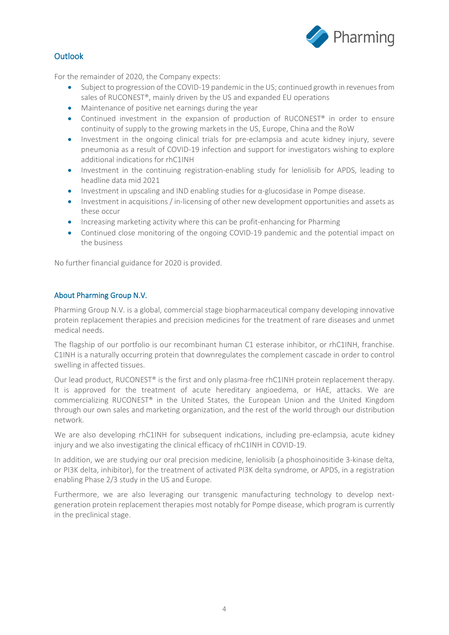

# Outlook

For the remainder of 2020, the Company expects:

- Subject to progression of the COVID-19 pandemic in the US; continued growth in revenues from sales of RUCONEST®, mainly driven by the US and expanded EU operations
- Maintenance of positive net earnings during the year
- Continued investment in the expansion of production of RUCONEST<sup>®</sup> in order to ensure continuity of supply to the growing markets in the US, Europe, China and the RoW
- Investment in the ongoing clinical trials for pre-eclampsia and acute kidney injury, severe pneumonia as a result of COVID-19 infection and support for investigators wishing to explore additional indications for rhC1INH
- Investment in the continuing registration-enabling study for leniolisib for APDS, leading to headline data mid 2021
- Investment in upscaling and IND enabling studies for  $\alpha$ -glucosidase in Pompe disease.
- Investment in acquisitions / in-licensing of other new development opportunities and assets as these occur
- Increasing marketing activity where this can be profit-enhancing for Pharming
- Continued close monitoring of the ongoing COVID-19 pandemic and the potential impact on the business

No further financial guidance for 2020 is provided.

#### About Pharming Group N.V.

Pharming Group N.V. is a global, commercial stage biopharmaceutical company developing innovative protein replacement therapies and precision medicines for the treatment of rare diseases and unmet medical needs.

The flagship of our portfolio is our recombinant human C1 esterase inhibitor, or rhC1INH, franchise. C1INH is a naturally occurring protein that downregulates the complement cascade in order to control swelling in affected tissues.

Our lead product, RUCONEST<sup>®</sup> is the first and only plasma-free rhC1INH protein replacement therapy. It is approved for the treatment of acute hereditary angioedema, or HAE, attacks. We are commercializing RUCONEST® in the United States, the European Union and the United Kingdom through our own sales and marketing organization, and the rest of the world through our distribution network.

We are also developing rhC1INH for subsequent indications, including pre-eclampsia, acute kidney injury and we also investigating the clinical efficacy of rhC1INH in COVID-19.

In addition, we are studying our oral precision medicine, leniolisib (a phosphoinositide 3-kinase delta, or PI3K delta, inhibitor), for the treatment of activated PI3K delta syndrome, or APDS, in a registration enabling Phase 2/3 study in the US and Europe.

Furthermore, we are also leveraging our transgenic manufacturing technology to develop nextgeneration protein replacement therapies most notably for Pompe disease, which program is currently in the preclinical stage.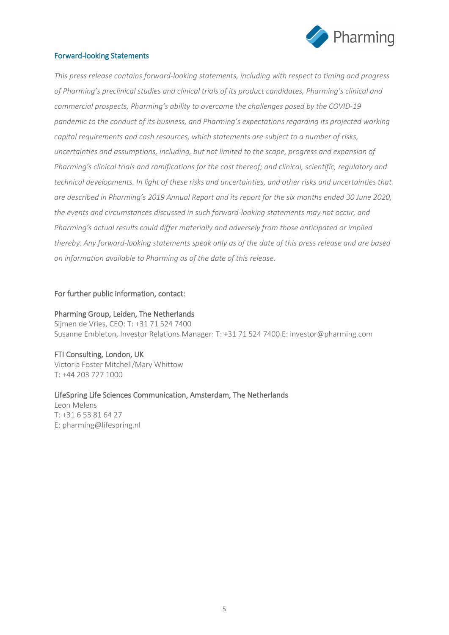

#### Forward-looking Statements

*This press release contains forward-looking statements, including with respect to timing and progress of Pharming's preclinical studies and clinical trials of its product candidates, Pharming's clinical and commercial prospects, Pharming's ability to overcome the challenges posed by the COVID-19 pandemic to the conduct of its business, and Pharming's expectations regarding its projected working capital requirements and cash resources, which statements are subject to a number of risks, uncertainties and assumptions, including, but not limited to the scope, progress and expansion of Pharming's clinical trials and ramifications for the cost thereof; and clinical, scientific, regulatory and technical developments. In light of these risks and uncertainties, and other risks and uncertainties that are described in Pharming's 2019 Annual Report and its report for the six months ended 30 June 2020, the events and circumstances discussed in such forward-looking statements may not occur, and Pharming's actual results could differ materially and adversely from those anticipated or implied thereby. Any forward-looking statements speak only as of the date of this press release and are based on information available to Pharming as of the date of this release.*

#### For further public information, contact:

Pharming Group, Leiden, The Netherlands Sijmen de Vries, CEO: T: +31 71 524 7400 Susanne Embleton, Investor Relations Manager: T: +31 71 524 7400 E: investor@pharming.com

### FTI Consulting, London, UK Victoria Foster Mitchell/Mary Whittow

T: +44 203 727 1000

#### LifeSpring Life Sciences Communication, Amsterdam, The Netherlands

Leon Melens T: +31 6 53 81 64 27 E: pharming@lifespring.nl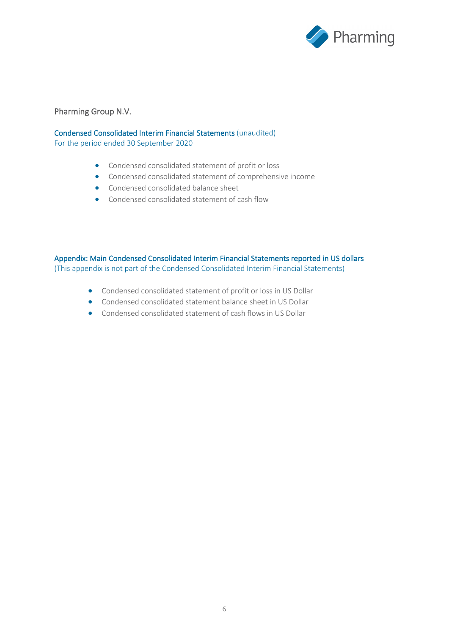

### Pharming Group N.V.

#### Condensed Consolidated Interim Financial Statements (unaudited)

For the period ended 30 September 2020

- Condensed consolidated statement of profit or loss
- Condensed consolidated statement of comprehensive income
- Condensed consolidated balance sheet
- Condensed consolidated statement of cash flow

Appendix: Main Condensed Consolidated Interim Financial Statements reported in US dollars (This appendix is not part of the Condensed Consolidated Interim Financial Statements)

- Condensed consolidated statement of profit or loss in US Dollar
- Condensed consolidated statement balance sheet in US Dollar
- Condensed consolidated statement of cash flows in US Dollar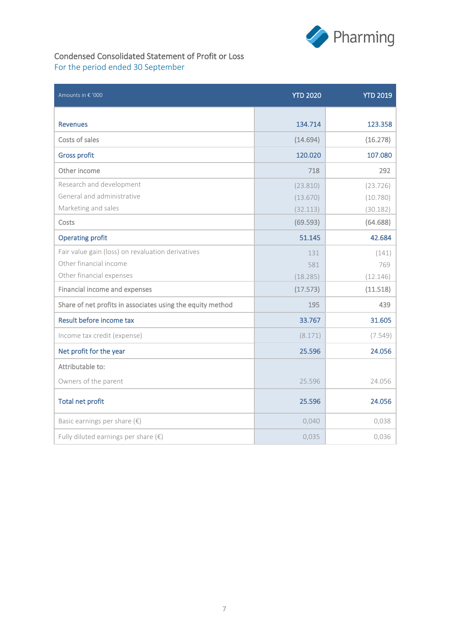

# Condensed Consolidated Statement of Profit or Loss For the period ended 30 September

| Amounts in € '000                                          | <b>YTD 2020</b> | <b>YTD 2019</b> |
|------------------------------------------------------------|-----------------|-----------------|
|                                                            |                 |                 |
| <b>Revenues</b>                                            | 134.714         | 123.358         |
| Costs of sales                                             | (14.694)        | (16.278)        |
| <b>Gross profit</b>                                        | 120.020         | 107.080         |
| Other income                                               | 718             | 292             |
| Research and development                                   | (23.810)        | (23.726)        |
| General and administrative                                 | (13.670)        | (10.780)        |
| Marketing and sales                                        | (32.113)        | (30.182)        |
| Costs                                                      | (69.593)        | (64.688)        |
| <b>Operating profit</b>                                    | 51.145          | 42.684          |
| Fair value gain (loss) on revaluation derivatives          | 131             | (141)           |
| Other financial income                                     | 581             | 769             |
| Other financial expenses                                   | (18.285)        | (12.146)        |
| Financial income and expenses                              | (17.573)        | (11.518)        |
| Share of net profits in associates using the equity method | 195             | 439             |
| Result before income tax                                   | 33.767          | 31.605          |
| Income tax credit (expense)                                | (8.171)         | (7.549)         |
| Net profit for the year                                    | 25.596          | 24.056          |
| Attributable to:                                           |                 |                 |
| Owners of the parent                                       | 25.596          | 24.056          |
| <b>Total net profit</b>                                    | 25.596          | 24.056          |
| Basic earnings per share $(\epsilon)$                      | 0,040           | 0,038           |
| Fully diluted earnings per share $(\epsilon)$              | 0,035           | 0,036           |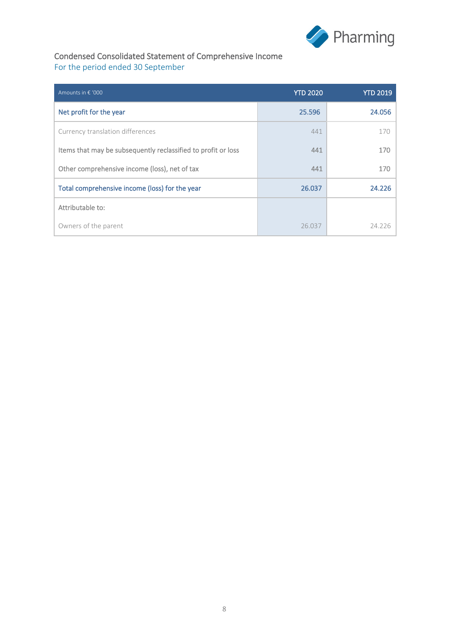

# Condensed Consolidated Statement of Comprehensive Income For the period ended 30 September

| Amounts in € '000                                             | <b>YTD 2020</b> | <b>YTD 2019</b> |
|---------------------------------------------------------------|-----------------|-----------------|
| Net profit for the year                                       | 25.596          | 24.056          |
| Currency translation differences                              | 441             | 170             |
| Items that may be subsequently reclassified to profit or loss | 441             | 170             |
| Other comprehensive income (loss), net of tax                 | 441             | 170             |
| Total comprehensive income (loss) for the year                | 26.037          | 24.226          |
| Attributable to:                                              |                 |                 |
| Owners of the parent                                          | 26.037          | 24.226          |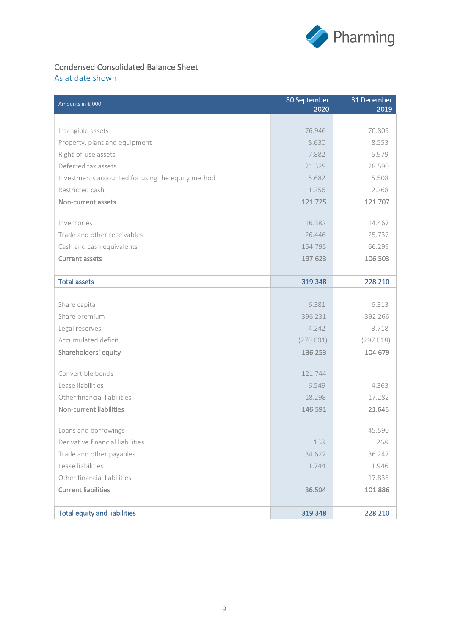

# Condensed Consolidated Balance Sheet

As at date shown

| Amounts in €'000                                  | 30 September | 31 December |
|---------------------------------------------------|--------------|-------------|
|                                                   | 2020         | 2019        |
| Intangible assets                                 | 76.946       | 70.809      |
| Property, plant and equipment                     | 8.630        | 8.553       |
| Right-of-use assets                               | 7.882        | 5.979       |
| Deferred tax assets                               | 21.329       | 28.590      |
| Investments accounted for using the equity method | 5.682        | 5.508       |
| Restricted cash                                   | 1.256        | 2.268       |
| Non-current assets                                | 121.725      | 121.707     |
|                                                   |              |             |
| Inventories                                       | 16.382       | 14.467      |
| Trade and other receivables                       | 26.446       | 25.737      |
| Cash and cash equivalents                         | 154.795      | 66.299      |
| <b>Current assets</b>                             | 197.623      | 106.503     |
|                                                   |              |             |
| <b>Total assets</b>                               | 319.348      | 228.210     |
|                                                   |              |             |
| Share capital                                     | 6.381        | 6.313       |
| Share premium                                     | 396.231      | 392.266     |
| Legal reserves                                    | 4.242        | 3.718       |
| Accumulated deficit                               | (270.601)    | (297.618)   |
| Shareholders' equity                              | 136.253      | 104.679     |
|                                                   |              |             |
| Convertible bonds                                 | 121.744      |             |
| Lease liabilities                                 | 6.549        | 4.363       |
| Other financial liabilities                       | 18.298       | 17.282      |
| Non-current liabilities                           | 146.591      | 21.645      |
| Loans and borrowings                              |              | 45.590      |
| Derivative financial liabilities                  | 138          | 268         |
| Trade and other payables                          | 34.622       | 36.247      |
| Lease liabilities                                 | 1.744        | 1.946       |
| Other financial liabilities                       |              | 17.835      |
| <b>Current liabilities</b>                        | 36.504       |             |
|                                                   |              | 101.886     |
| <b>Total equity and liabilities</b>               | 319.348      | 228.210     |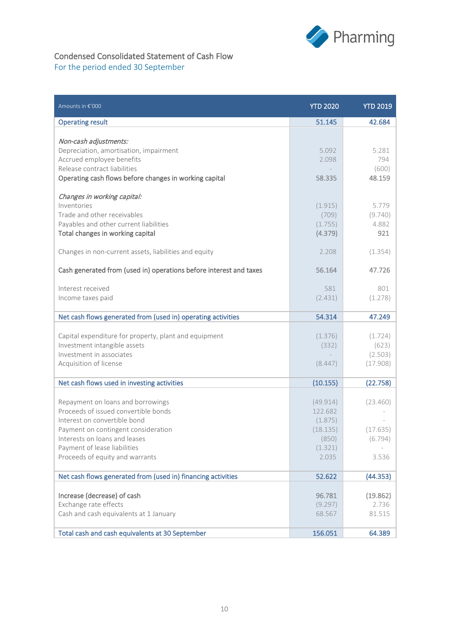

# Condensed Consolidated Statement of Cash Flow For the period ended 30 September

| Amounts in €'000                                                                      | <b>YTD 2020</b>     | <b>YTD 2019</b>  |
|---------------------------------------------------------------------------------------|---------------------|------------------|
| <b>Operating result</b>                                                               | 51.145              | 42.684           |
|                                                                                       |                     |                  |
| Non-cash adjustments:<br>Depreciation, amortisation, impairment                       | 5,092               | 5.281            |
| Accrued employee benefits                                                             | 2.098               | 794              |
| Release contract liabilities                                                          |                     | (600)            |
| Operating cash flows before changes in working capital                                | 58.335              | 48.159           |
|                                                                                       |                     |                  |
| Changes in working capital:<br>Inventories                                            | (1.915)             | 5.779            |
| Trade and other receivables                                                           | (709)               | (9.740)          |
| Payables and other current liabilities                                                | (1.755)             | 4.882            |
| Total changes in working capital                                                      | (4.379)             | 921              |
|                                                                                       |                     |                  |
| Changes in non-current assets, liabilities and equity                                 | 2.208               | (1.354)          |
|                                                                                       |                     |                  |
| Cash generated from (used in) operations before interest and taxes                    | 56.164              | 47.726           |
| Interest received                                                                     | 581                 | 801              |
| Income taxes paid                                                                     | (2.431)             | (1.278)          |
|                                                                                       |                     |                  |
| Net cash flows generated from (used in) operating activities                          | 54.314              | 47.249           |
|                                                                                       |                     |                  |
| Capital expenditure for property, plant and equipment<br>Investment intangible assets | (1.376)             | (1.724)          |
| Investment in associates                                                              | (332)               | (623)<br>(2.503) |
| Acquisition of license                                                                | (8.447)             | (17.908)         |
|                                                                                       |                     |                  |
| Net cash flows used in investing activities                                           | (10.155)            | (22.758)         |
|                                                                                       |                     |                  |
| Repayment on loans and borrowings<br>Proceeds of issued convertible bonds             | (49.914)<br>122.682 | (23.460)         |
| Interest on convertible bond                                                          | (1.875)             |                  |
| Payment on contingent consideration                                                   | (18.135)            | (17.635)         |
| Interests on loans and leases                                                         | (850)               | (6.794)          |
| Payment of lease liabilities                                                          | (1.321)             |                  |
| Proceeds of equity and warrants                                                       | 2.035               | 3.536            |
|                                                                                       |                     |                  |
| Net cash flows generated from (used in) financing activities                          | 52.622              | (44.353)         |
| Increase (decrease) of cash                                                           | 96.781              | (19.862)         |
| Exchange rate effects                                                                 | (9.297)             | 2.736            |
| Cash and cash equivalents at 1 January                                                | 68.567              | 81.515           |
|                                                                                       |                     |                  |
| Total cash and cash equivalents at 30 September                                       | 156.051             | 64.389           |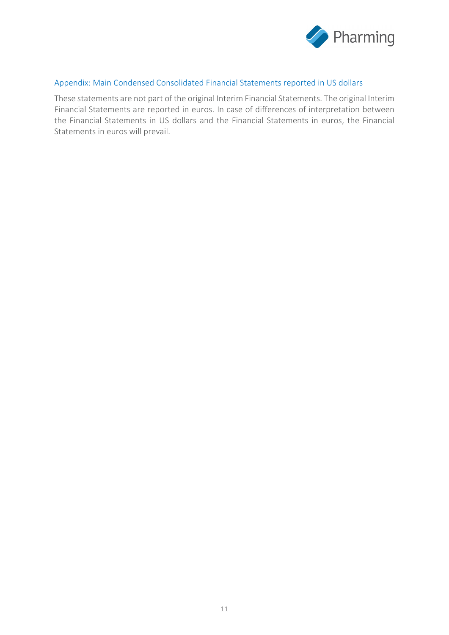

### Appendix: Main Condensed Consolidated Financial Statements reported in US dollars

These statements are not part of the original Interim Financial Statements. The original Interim Financial Statements are reported in euros. In case of differences of interpretation between the Financial Statements in US dollars and the Financial Statements in euros, the Financial Statements in euros will prevail.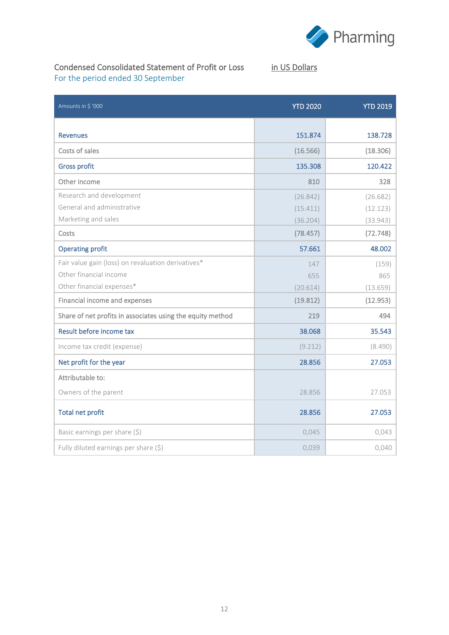

# Condensed Consolidated Statement of Profit or Loss in US Dollars For the period ended 30 September

| Amounts in \$ '000                                         | <b>YTD 2020</b> | <b>YTD 2019</b> |
|------------------------------------------------------------|-----------------|-----------------|
|                                                            |                 |                 |
| <b>Revenues</b>                                            | 151.874         | 138.728         |
| Costs of sales                                             | (16.566)        | (18.306)        |
| <b>Gross profit</b>                                        | 135.308         | 120.422         |
| Other income                                               | 810             | 328             |
| Research and development                                   | (26.842)        | (26.682)        |
| General and administrative                                 | (15.411)        | (12.123)        |
| Marketing and sales                                        | (36.204)        | (33.943)        |
| Costs                                                      | (78.457)        | (72.748)        |
| <b>Operating profit</b>                                    | 57.661          | 48.002          |
| Fair value gain (loss) on revaluation derivatives*         | 147             | (159)           |
| Other financial income                                     | 655             | 865             |
| Other financial expenses*                                  | (20.614)        | (13.659)        |
| Financial income and expenses                              | (19.812)        | (12.953)        |
| Share of net profits in associates using the equity method | 219             | 494             |
| Result before income tax                                   | 38.068          | 35.543          |
| Income tax credit (expense)                                | (9.212)         | (8.490)         |
| Net profit for the year                                    | 28.856          | 27.053          |
| Attributable to:                                           |                 |                 |
| Owners of the parent                                       | 28.856          | 27.053          |
| <b>Total net profit</b>                                    | 28.856          | 27.053          |
| Basic earnings per share (\$)                              | 0,045           | 0,043           |
| Fully diluted earnings per share (\$)                      | 0,039           | 0,040           |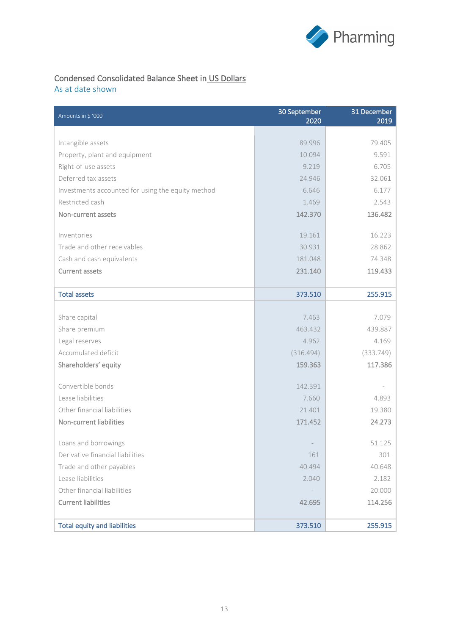

# Condensed Consolidated Balance Sheet in US Dollars

As at date shown

| Amounts in \$ '000                                | 30 September<br>2020 | 31 December<br>2019 |
|---------------------------------------------------|----------------------|---------------------|
|                                                   |                      |                     |
| Intangible assets                                 | 89.996               | 79.405              |
| Property, plant and equipment                     | 10.094               | 9.591               |
| Right-of-use assets                               | 9.219                | 6.705               |
| Deferred tax assets                               | 24.946               | 32.061              |
| Investments accounted for using the equity method | 6.646                | 6.177               |
| Restricted cash                                   | 1.469                | 2.543               |
| Non-current assets                                | 142.370              | 136.482             |
| Inventories                                       | 19.161               | 16.223              |
| Trade and other receivables                       | 30.931               | 28.862              |
| Cash and cash equivalents                         | 181.048              | 74.348              |
| <b>Current assets</b>                             | 231.140              | 119.433             |
|                                                   |                      |                     |
| <b>Total assets</b>                               | 373.510              | 255.915             |
|                                                   |                      |                     |
| Share capital                                     | 7.463                | 7.079               |
| Share premium                                     | 463.432              | 439.887             |
| Legal reserves                                    | 4.962                | 4.169               |
| Accumulated deficit                               | (316.494)            | (333.749)           |
| Shareholders' equity                              | 159.363              | 117.386             |
| Convertible bonds                                 | 142.391              |                     |
| Lease liabilities                                 | 7.660                | 4.893               |
| Other financial liabilities                       | 21.401               | 19.380              |
| Non-current liabilities                           | 171.452              | 24.273              |
|                                                   |                      |                     |
| Loans and borrowings                              |                      | 51.125              |
| Derivative financial liabilities                  | 161                  | 301                 |
| Trade and other payables                          | 40.494               | 40.648              |
| Lease liabilities                                 | 2.040                | 2.182               |
| Other financial liabilities                       |                      | 20.000              |
| <b>Current liabilities</b>                        | 42.695               | 114.256             |
|                                                   |                      |                     |
| <b>Total equity and liabilities</b>               | 373.510              | 255.915             |